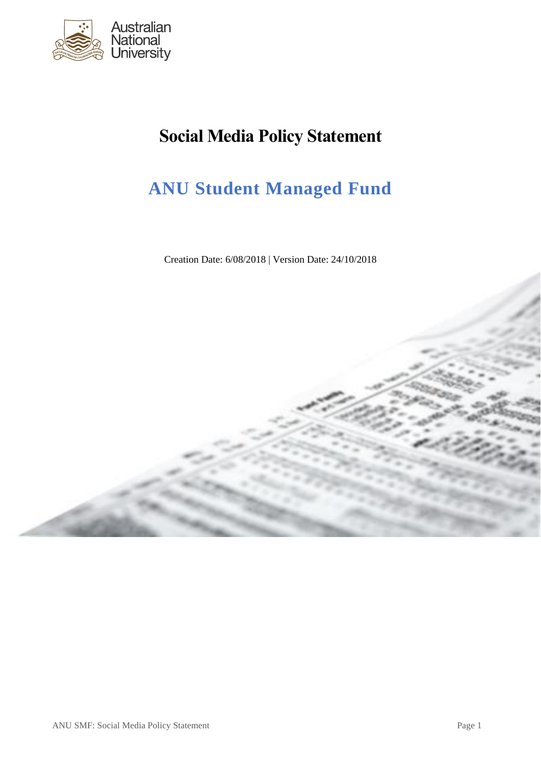

# **Social Media Policy Statement**

# **ANU Student Managed Fund**

Creation Date: 6/08/2018 | Version Date: 24/10/2018

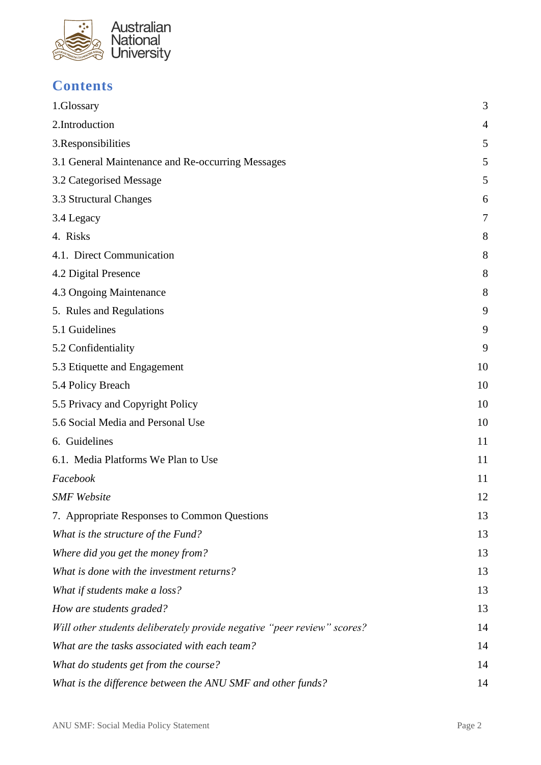

# **Contents**

| 1.Glossary                                                              | 3  |
|-------------------------------------------------------------------------|----|
| 2.Introduction                                                          | 4  |
| 3. Responsibilities                                                     | 5  |
| 3.1 General Maintenance and Re-occurring Messages                       | 5  |
| 3.2 Categorised Message                                                 | 5  |
| 3.3 Structural Changes                                                  | 6  |
| 3.4 Legacy                                                              | 7  |
| 4. Risks                                                                | 8  |
| 4.1. Direct Communication                                               | 8  |
| 4.2 Digital Presence                                                    | 8  |
| 4.3 Ongoing Maintenance                                                 | 8  |
| 5. Rules and Regulations                                                | 9  |
| 5.1 Guidelines                                                          | 9  |
| 5.2 Confidentiality                                                     | 9  |
| 5.3 Etiquette and Engagement                                            | 10 |
| 5.4 Policy Breach                                                       | 10 |
| 5.5 Privacy and Copyright Policy                                        | 10 |
| 5.6 Social Media and Personal Use                                       | 10 |
| 6. Guidelines                                                           | 11 |
| 6.1. Media Platforms We Plan to Use                                     | 11 |
| Facebook                                                                | 11 |
| <b>SMF</b> Website                                                      | 12 |
| 7. Appropriate Responses to Common Questions                            | 13 |
| What is the structure of the Fund?                                      | 13 |
| Where did you get the money from?                                       | 13 |
| What is done with the investment returns?                               | 13 |
| What if students make a loss?                                           | 13 |
| How are students graded?                                                | 13 |
| Will other students deliberately provide negative "peer review" scores? | 14 |
| What are the tasks associated with each team?                           | 14 |
| What do students get from the course?                                   | 14 |
| What is the difference between the ANU SMF and other funds?             | 14 |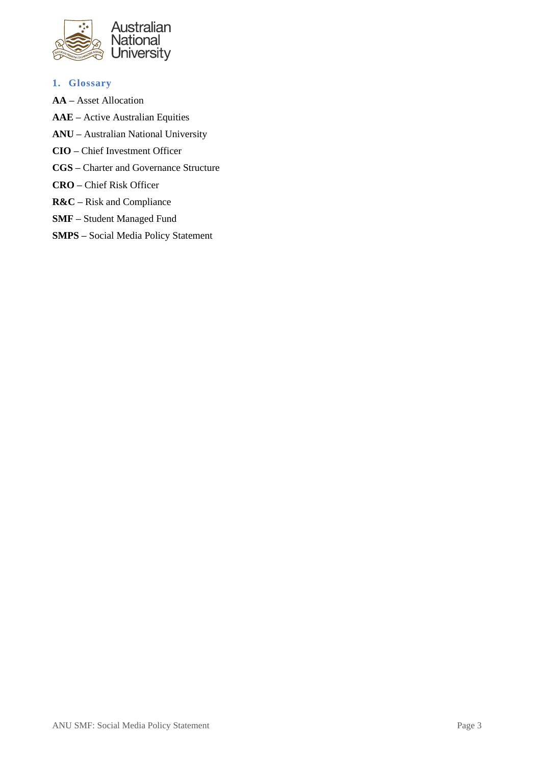

- **1. Glossary**
- **AA –** Asset Allocation
- **AAE –** Active Australian Equities
- **ANU –** Australian National University
- **CIO –** Chief Investment Officer
- **CGS –** Charter and Governance Structure
- **CRO –** Chief Risk Officer
- **R&C –** Risk and Compliance
- **SMF –** Student Managed Fund
- **SMPS –** Social Media Policy Statement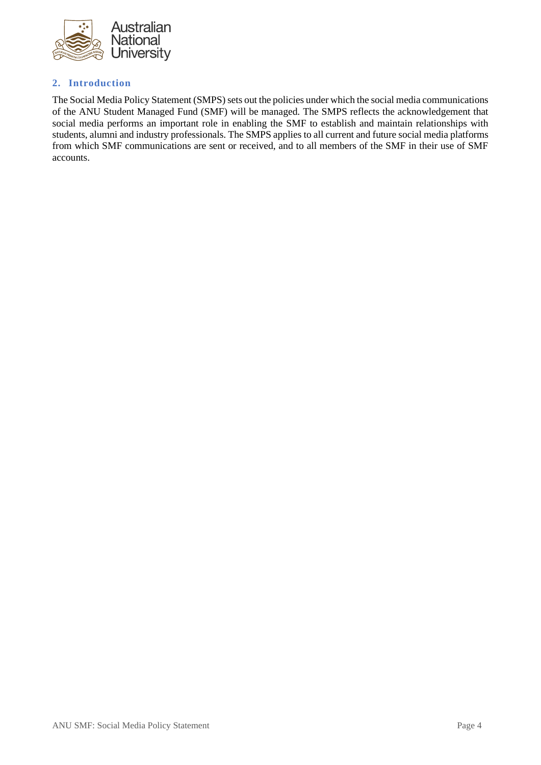

# **2. Introduction**

The Social Media Policy Statement (SMPS) sets out the policies under which the social media communications of the ANU Student Managed Fund (SMF) will be managed. The SMPS reflects the acknowledgement that social media performs an important role in enabling the SMF to establish and maintain relationships with students, alumni and industry professionals. The SMPS applies to all current and future social media platforms from which SMF communications are sent or received, and to all members of the SMF in their use of SMF accounts.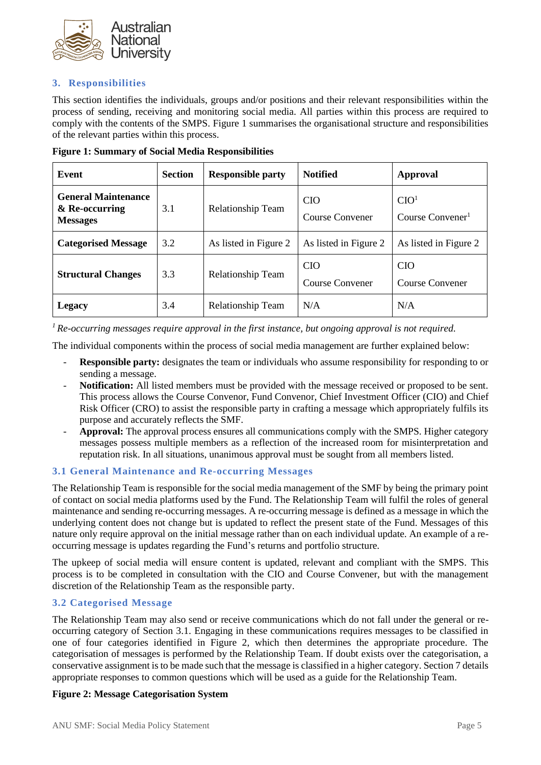

# **3. Responsibilities**

This section identifies the individuals, groups and/or positions and their relevant responsibilities within the process of sending, receiving and monitoring social media. All parties within this process are required to comply with the contents of the SMPS. Figure 1 summarises the organisational structure and responsibilities of the relevant parties within this process.

| Event                                                           | <b>Section</b> | <b>Responsible party</b> | <b>Notified</b>               | <b>Approval</b>                                  |
|-----------------------------------------------------------------|----------------|--------------------------|-------------------------------|--------------------------------------------------|
| <b>General Maintenance</b><br>& Re-occurring<br><b>Messages</b> | 3.1            | <b>Relationship Team</b> | <b>CIO</b><br>Course Convener | CIO <sup>1</sup><br>Course Convener <sup>1</sup> |
| <b>Categorised Message</b>                                      | 3.2            | As listed in Figure 2    | As listed in Figure 2         | As listed in Figure 2                            |
| <b>Structural Changes</b>                                       | 3.3            | <b>Relationship Team</b> | <b>CIO</b><br>Course Convener | <b>CIO</b><br>Course Convener                    |
| Legacy                                                          | 3.4            | Relationship Team        | N/A                           | N/A                                              |

**Figure 1: Summary of Social Media Responsibilities** 

*<sup>1</sup>Re-occurring messages require approval in the first instance, but ongoing approval is not required.* 

The individual components within the process of social media management are further explained below:

- **Responsible party:** designates the team or individuals who assume responsibility for responding to or sending a message.
- **Notification:** All listed members must be provided with the message received or proposed to be sent. This process allows the Course Convenor, Fund Convenor, Chief Investment Officer (CIO) and Chief Risk Officer (CRO) to assist the responsible party in crafting a message which appropriately fulfils its purpose and accurately reflects the SMF.
- Approval: The approval process ensures all communications comply with the SMPS. Higher category messages possess multiple members as a reflection of the increased room for misinterpretation and reputation risk. In all situations, unanimous approval must be sought from all members listed.

# **3.1 General Maintenance and Re-occurring Messages**

The Relationship Team is responsible for the social media management of the SMF by being the primary point of contact on social media platforms used by the Fund. The Relationship Team will fulfil the roles of general maintenance and sending re-occurring messages. A re-occurring message is defined as a message in which the underlying content does not change but is updated to reflect the present state of the Fund. Messages of this nature only require approval on the initial message rather than on each individual update. An example of a reoccurring message is updates regarding the Fund's returns and portfolio structure.

The upkeep of social media will ensure content is updated, relevant and compliant with the SMPS. This process is to be completed in consultation with the CIO and Course Convener, but with the management discretion of the Relationship Team as the responsible party.

# **3.2 Categorised Message**

The Relationship Team may also send or receive communications which do not fall under the general or reoccurring category of Section 3.1. Engaging in these communications requires messages to be classified in one of four categories identified in Figure 2, which then determines the appropriate procedure. The categorisation of messages is performed by the Relationship Team. If doubt exists over the categorisation, a conservative assignment is to be made such that the message is classified in a higher category. Section 7 details appropriate responses to common questions which will be used as a guide for the Relationship Team.

#### **Figure 2: Message Categorisation System**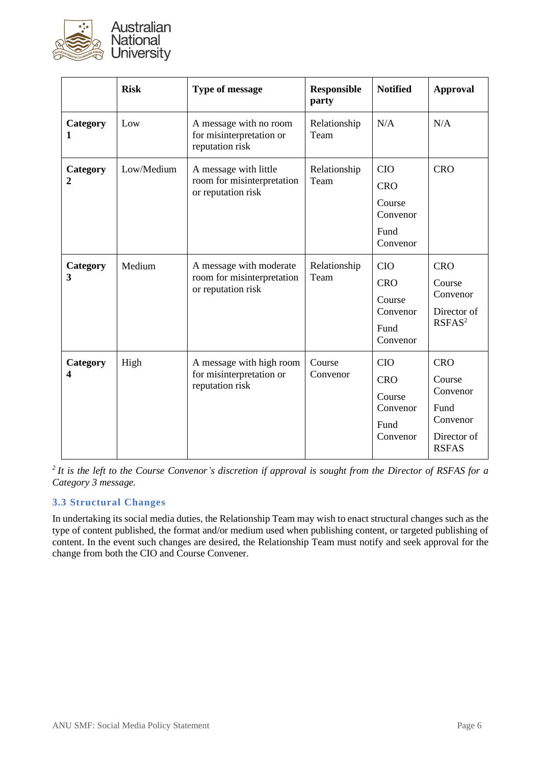

|               | <b>Risk</b> | <b>Type of message</b>                                                      | <b>Responsible</b><br>party | <b>Notified</b>                                                    | <b>Approval</b>                                                                     |
|---------------|-------------|-----------------------------------------------------------------------------|-----------------------------|--------------------------------------------------------------------|-------------------------------------------------------------------------------------|
| Category<br>1 | Low         | A message with no room<br>for misinterpretation or<br>reputation risk       | Relationship<br>Team        | N/A                                                                | N/A                                                                                 |
| Category<br>2 | Low/Medium  | A message with little<br>room for misinterpretation<br>or reputation risk   | Relationship<br>Team        | <b>CIO</b><br><b>CRO</b><br>Course<br>Convenor<br>Fund<br>Convenor | <b>CRO</b>                                                                          |
| Category<br>3 | Medium      | A message with moderate<br>room for misinterpretation<br>or reputation risk | Relationship<br>Team        | <b>CIO</b><br><b>CRO</b><br>Course<br>Convenor<br>Fund<br>Convenor | <b>CRO</b><br>Course<br>Convenor<br>Director of<br>RSFAS <sup>2</sup>               |
| Category<br>4 | High        | A message with high room<br>for misinterpretation or<br>reputation risk     | Course<br>Convenor          | <b>CIO</b><br><b>CRO</b><br>Course<br>Convenor<br>Fund<br>Convenor | <b>CRO</b><br>Course<br>Convenor<br>Fund<br>Convenor<br>Director of<br><b>RSFAS</b> |

*<sup>2</sup>It is the left to the Course Convenor's discretion if approval is sought from the Director of RSFAS for a Category 3 message.*

# **3.3 Structural Changes**

In undertaking its social media duties, the Relationship Team may wish to enact structural changes such as the type of content published, the format and/or medium used when publishing content, or targeted publishing of content. In the event such changes are desired, the Relationship Team must notify and seek approval for the change from both the CIO and Course Convener.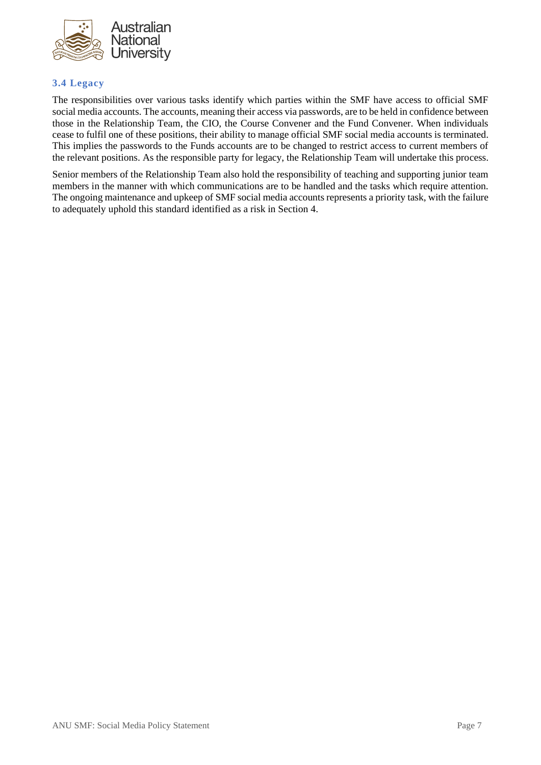

# **3.4 Legacy**

The responsibilities over various tasks identify which parties within the SMF have access to official SMF social media accounts. The accounts, meaning their access via passwords, are to be held in confidence between those in the Relationship Team, the CIO, the Course Convener and the Fund Convener. When individuals cease to fulfil one of these positions, their ability to manage official SMF social media accounts is terminated. This implies the passwords to the Funds accounts are to be changed to restrict access to current members of the relevant positions. As the responsible party for legacy, the Relationship Team will undertake this process.

Senior members of the Relationship Team also hold the responsibility of teaching and supporting junior team members in the manner with which communications are to be handled and the tasks which require attention. The ongoing maintenance and upkeep of SMF social media accounts represents a priority task, with the failure to adequately uphold this standard identified as a risk in Section 4.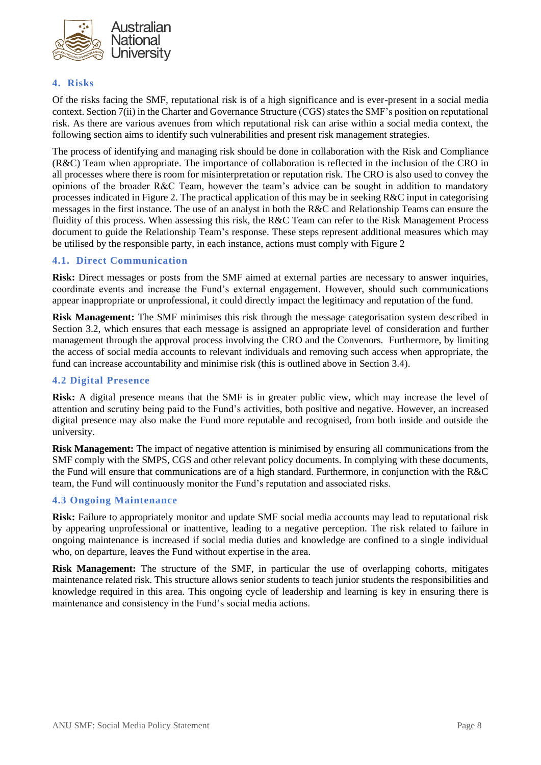

# **4. Risks**

Of the risks facing the SMF, reputational risk is of a high significance and is ever-present in a social media context. Section 7(ii) in the Charter and Governance Structure (CGS) states the SMF's position on reputational risk. As there are various avenues from which reputational risk can arise within a social media context, the following section aims to identify such vulnerabilities and present risk management strategies.

The process of identifying and managing risk should be done in collaboration with the Risk and Compliance (R&C) Team when appropriate. The importance of collaboration is reflected in the inclusion of the CRO in all processes where there is room for misinterpretation or reputation risk. The CRO is also used to convey the opinions of the broader R&C Team, however the team's advice can be sought in addition to mandatory processes indicated in Figure 2. The practical application of this may be in seeking  $R\&C$  input in categorising messages in the first instance. The use of an analyst in both the R&C and Relationship Teams can ensure the fluidity of this process. When assessing this risk, the R&C Team can refer to the Risk Management Process document to guide the Relationship Team's response. These steps represent additional measures which may be utilised by the responsible party, in each instance, actions must comply with Figure 2

### **4.1. Direct Communication**

**Risk:** Direct messages or posts from the SMF aimed at external parties are necessary to answer inquiries, coordinate events and increase the Fund's external engagement. However, should such communications appear inappropriate or unprofessional, it could directly impact the legitimacy and reputation of the fund.

**Risk Management:** The SMF minimises this risk through the message categorisation system described in Section 3.2, which ensures that each message is assigned an appropriate level of consideration and further management through the approval process involving the CRO and the Convenors. Furthermore, by limiting the access of social media accounts to relevant individuals and removing such access when appropriate, the fund can increase accountability and minimise risk (this is outlined above in Section 3.4).

#### **4.2 Digital Presence**

**Risk:** A digital presence means that the SMF is in greater public view, which may increase the level of attention and scrutiny being paid to the Fund's activities, both positive and negative. However, an increased digital presence may also make the Fund more reputable and recognised, from both inside and outside the university.

**Risk Management:** The impact of negative attention is minimised by ensuring all communications from the SMF comply with the SMPS, CGS and other relevant policy documents. In complying with these documents, the Fund will ensure that communications are of a high standard. Furthermore, in conjunction with the R&C team, the Fund will continuously monitor the Fund's reputation and associated risks.

#### **4.3 Ongoing Maintenance**

**Risk:** Failure to appropriately monitor and update SMF social media accounts may lead to reputational risk by appearing unprofessional or inattentive, leading to a negative perception. The risk related to failure in ongoing maintenance is increased if social media duties and knowledge are confined to a single individual who, on departure, leaves the Fund without expertise in the area.

**Risk Management:** The structure of the SMF, in particular the use of overlapping cohorts, mitigates maintenance related risk. This structure allows senior students to teach junior students the responsibilities and knowledge required in this area. This ongoing cycle of leadership and learning is key in ensuring there is maintenance and consistency in the Fund's social media actions.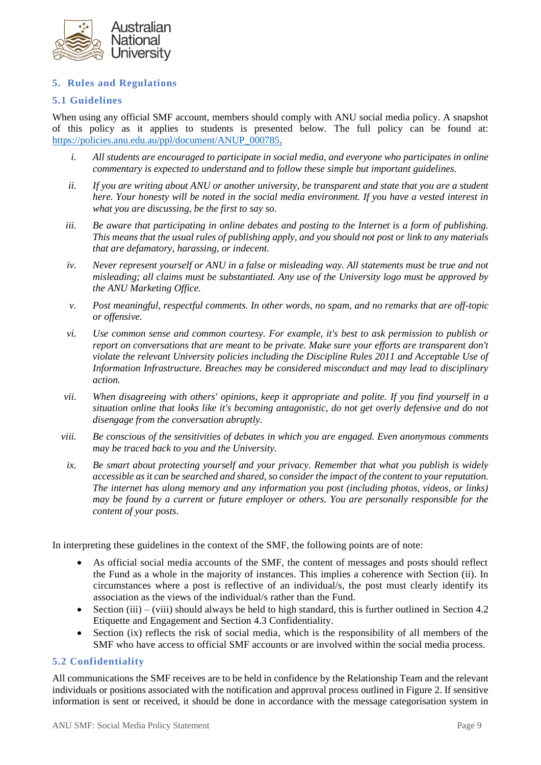

# **5. Rules and Regulations**

### **5.1 Guidelines**

When using any official SMF account, members should comply with ANU social media policy. A snapshot of this policy as it applies to students is presented below. The full policy can be found at: [https://policies.anu.edu.au/ppl/document/ANUP\\_000785.](https://policies.anu.edu.au/ppl/document/ANUP_000785)

- *i. All students are encouraged to participate in social media, and everyone who participates in online commentary is expected to understand and to follow these simple but important guidelines.*
- *ii. If you are writing about ANU or another university, be transparent and state that you are a student here. Your honesty will be noted in the social media environment. If you have a vested interest in what you are discussing, be the first to say so.*
- *iii. Be aware that participating in online debates and posting to the Internet is a form of publishing. This means that the usual rules of publishing apply, and you should not post or link to any materials that are defamatory, harassing, or indecent.*
- *iv. Never represent yourself or ANU in a false or misleading way. All statements must be true and not misleading; all claims must be substantiated. Any use of the University logo must be approved by the ANU Marketing Office.*
- *v. Post meaningful, respectful comments. In other words, no spam, and no remarks that are off-topic or offensive.*
- *vi. Use common sense and common courtesy. For example, it's best to ask permission to publish or report on conversations that are meant to be private. Make sure your efforts are transparent don't violate the relevant University policies including the Discipline Rules 2011 and Acceptable Use of Information Infrastructure. Breaches may be considered misconduct and may lead to disciplinary action.*
- *vii. When disagreeing with others' opinions, keep it appropriate and polite. If you find yourself in a situation online that looks like it's becoming antagonistic, do not get overly defensive and do not disengage from the conversation abruptly.*
- *viii. Be conscious of the sensitivities of debates in which you are engaged. Even anonymous comments may be traced back to you and the University.*
- *ix. Be smart about protecting yourself and your privacy. Remember that what you publish is widely accessible as it can be searched and shared, so consider the impact of the content to your reputation. The internet has along memory and any information you post (including photos, videos, or links) may be found by a current or future employer or others. You are personally responsible for the content of your posts.*

In interpreting these guidelines in the context of the SMF, the following points are of note:

- As official social media accounts of the SMF, the content of messages and posts should reflect the Fund as a whole in the majority of instances. This implies a coherence with Section (ii). In circumstances where a post is reflective of an individual/s, the post must clearly identify its association as the views of the individual/s rather than the Fund.
- Section (iii) (viii) should always be held to high standard, this is further outlined in Section 4.2 Etiquette and Engagement and Section 4.3 Confidentiality.
- Section (ix) reflects the risk of social media, which is the responsibility of all members of the SMF who have access to official SMF accounts or are involved within the social media process.

#### **5.2 Confidentiality**

All communications the SMF receives are to be held in confidence by the Relationship Team and the relevant individuals or positions associated with the notification and approval process outlined in Figure 2. If sensitive information is sent or received, it should be done in accordance with the message categorisation system in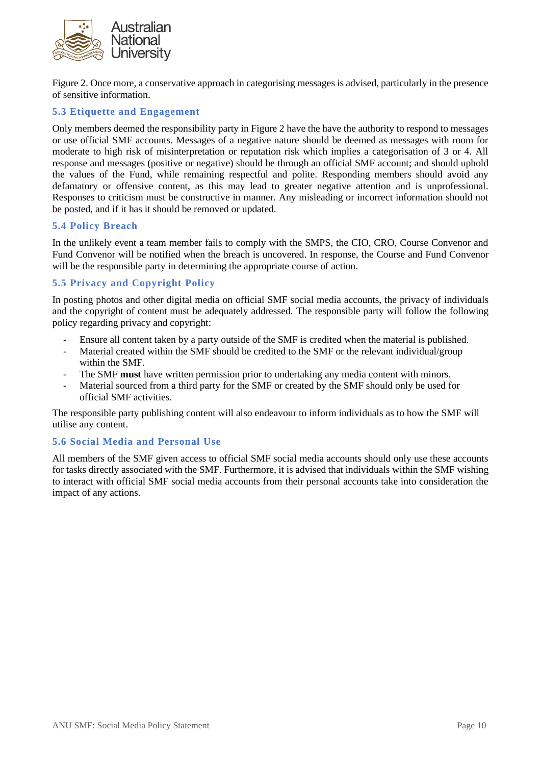

Figure 2. Once more, a conservative approach in categorising messages is advised, particularly in the presence of sensitive information.

### **5.3 Etiquette and Engagement**

Only members deemed the responsibility party in Figure 2 have the have the authority to respond to messages or use official SMF accounts. Messages of a negative nature should be deemed as messages with room for moderate to high risk of misinterpretation or reputation risk which implies a categorisation of 3 or 4. All response and messages (positive or negative) should be through an official SMF account; and should uphold the values of the Fund, while remaining respectful and polite. Responding members should avoid any defamatory or offensive content, as this may lead to greater negative attention and is unprofessional. Responses to criticism must be constructive in manner. Any misleading or incorrect information should not be posted, and if it has it should be removed or updated.

#### **5.4 Policy Breach**

In the unlikely event a team member fails to comply with the SMPS, the CIO, CRO, Course Convenor and Fund Convenor will be notified when the breach is uncovered. In response, the Course and Fund Convenor will be the responsible party in determining the appropriate course of action.

# **5.5 Privacy and Copyright Policy**

In posting photos and other digital media on official SMF social media accounts, the privacy of individuals and the copyright of content must be adequately addressed. The responsible party will follow the following policy regarding privacy and copyright:

- Ensure all content taken by a party outside of the SMF is credited when the material is published.
- Material created within the SMF should be credited to the SMF or the relevant individual/group within the SMF.
- The SMF **must** have written permission prior to undertaking any media content with minors.
- Material sourced from a third party for the SMF or created by the SMF should only be used for official SMF activities.

The responsible party publishing content will also endeavour to inform individuals as to how the SMF will utilise any content.

#### **5.6 Social Media and Personal Use**

All members of the SMF given access to official SMF social media accounts should only use these accounts for tasks directly associated with the SMF. Furthermore, it is advised that individuals within the SMF wishing to interact with official SMF social media accounts from their personal accounts take into consideration the impact of any actions.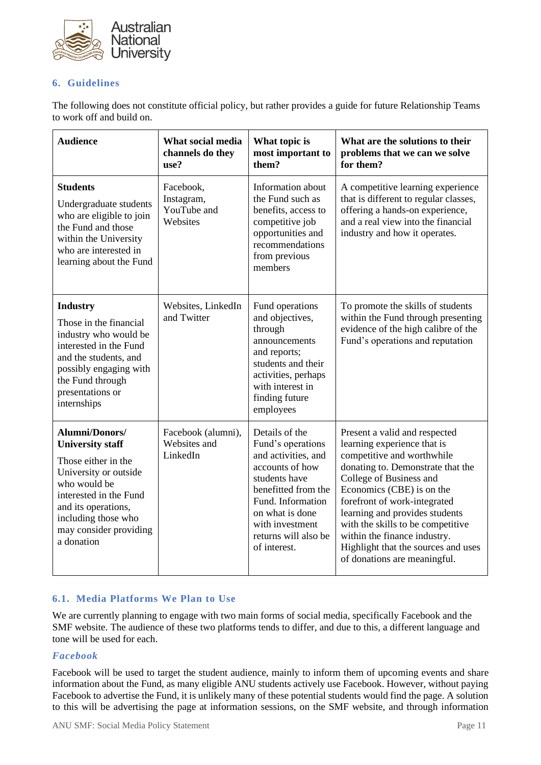

# **6. Guidelines**

The following does not constitute official policy, but rather provides a guide for future Relationship Teams to work off and build on.

| <b>Audience</b>                                                                                                                                                                                                                  | What social media<br>channels do they<br>use?      | What topic is<br>most important to<br>them?                                                                                                                                                                              | What are the solutions to their<br>problems that we can we solve<br>for them?                                                                                                                                                                                                                                                                                                                         |
|----------------------------------------------------------------------------------------------------------------------------------------------------------------------------------------------------------------------------------|----------------------------------------------------|--------------------------------------------------------------------------------------------------------------------------------------------------------------------------------------------------------------------------|-------------------------------------------------------------------------------------------------------------------------------------------------------------------------------------------------------------------------------------------------------------------------------------------------------------------------------------------------------------------------------------------------------|
| <b>Students</b><br>Undergraduate students<br>who are eligible to join<br>the Fund and those<br>within the University<br>who are interested in<br>learning about the Fund                                                         | Facebook,<br>Instagram,<br>YouTube and<br>Websites | Information about<br>the Fund such as<br>benefits, access to<br>competitive job<br>opportunities and<br>recommendations<br>from previous<br>members                                                                      | A competitive learning experience<br>that is different to regular classes,<br>offering a hands-on experience,<br>and a real view into the financial<br>industry and how it operates.                                                                                                                                                                                                                  |
| <b>Industry</b><br>Those in the financial<br>industry who would be<br>interested in the Fund<br>and the students, and<br>possibly engaging with<br>the Fund through<br>presentations or<br>internships                           | Websites, LinkedIn<br>and Twitter                  | Fund operations<br>and objectives,<br>through<br>announcements<br>and reports;<br>students and their<br>activities, perhaps<br>with interest in<br>finding future<br>employees                                           | To promote the skills of students<br>within the Fund through presenting<br>evidence of the high calibre of the<br>Fund's operations and reputation                                                                                                                                                                                                                                                    |
| <b>Alumni/Donors/</b><br><b>University staff</b><br>Those either in the<br>University or outside<br>who would be<br>interested in the Fund<br>and its operations,<br>including those who<br>may consider providing<br>a donation | Facebook (alumni),<br>Websites and<br>LinkedIn     | Details of the<br>Fund's operations<br>and activities, and<br>accounts of how<br>students have<br>benefitted from the<br>Fund. Information<br>on what is done<br>with investment<br>returns will also be<br>of interest. | Present a valid and respected<br>learning experience that is<br>competitive and worthwhile<br>donating to. Demonstrate that the<br>College of Business and<br>Economics (CBE) is on the<br>forefront of work-integrated<br>learning and provides students<br>with the skills to be competitive<br>within the finance industry.<br>Highlight that the sources and uses<br>of donations are meaningful. |

# **6.1. Media Platforms We Plan to Use**

We are currently planning to engage with two main forms of social media, specifically Facebook and the SMF website. The audience of these two platforms tends to differ, and due to this, a different language and tone will be used for each.

# *Facebook*

Facebook will be used to target the student audience, mainly to inform them of upcoming events and share information about the Fund, as many eligible ANU students actively use Facebook. However, without paying Facebook to advertise the Fund, it is unlikely many of these potential students would find the page. A solution to this will be advertising the page at information sessions, on the SMF website, and through information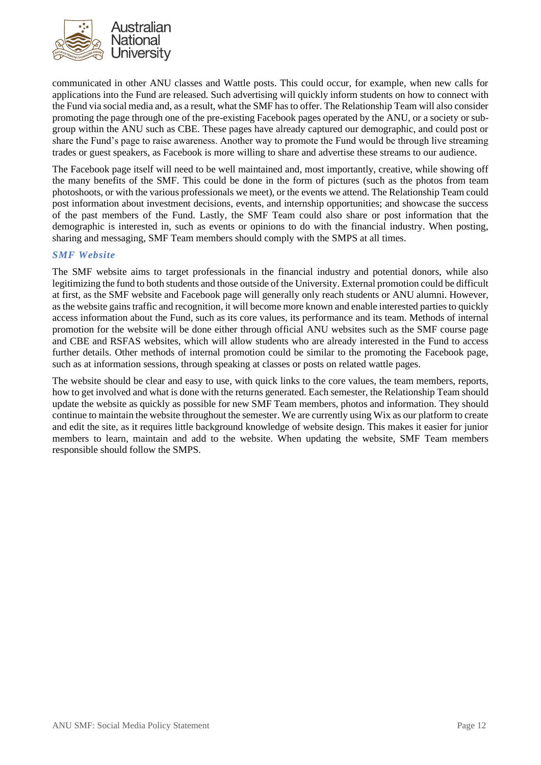

communicated in other ANU classes and Wattle posts. This could occur, for example, when new calls for applications into the Fund are released. Such advertising will quickly inform students on how to connect with the Fund via social media and, as a result, what the SMF has to offer. The Relationship Team will also consider promoting the page through one of the pre-existing Facebook pages operated by the ANU, or a society or subgroup within the ANU such as CBE. These pages have already captured our demographic, and could post or share the Fund's page to raise awareness. Another way to promote the Fund would be through live streaming trades or guest speakers, as Facebook is more willing to share and advertise these streams to our audience.

The Facebook page itself will need to be well maintained and, most importantly, creative, while showing off the many benefits of the SMF. This could be done in the form of pictures (such as the photos from team photoshoots, or with the various professionals we meet), or the events we attend. The Relationship Team could post information about investment decisions, events, and internship opportunities; and showcase the success of the past members of the Fund. Lastly, the SMF Team could also share or post information that the demographic is interested in, such as events or opinions to do with the financial industry. When posting, sharing and messaging, SMF Team members should comply with the SMPS at all times.

### *SMF Website*

The SMF website aims to target professionals in the financial industry and potential donors, while also legitimizing the fund to both students and those outside of the University. External promotion could be difficult at first, as the SMF website and Facebook page will generally only reach students or ANU alumni. However, as the website gains traffic and recognition, it will become more known and enable interested parties to quickly access information about the Fund, such as its core values, its performance and its team. Methods of internal promotion for the website will be done either through official ANU websites such as the SMF course page and CBE and RSFAS websites, which will allow students who are already interested in the Fund to access further details. Other methods of internal promotion could be similar to the promoting the Facebook page, such as at information sessions, through speaking at classes or posts on related wattle pages.

The website should be clear and easy to use, with quick links to the core values, the team members, reports, how to get involved and what is done with the returns generated. Each semester, the Relationship Team should update the website as quickly as possible for new SMF Team members, photos and information. They should continue to maintain the website throughout the semester. We are currently using Wix as our platform to create and edit the site, as it requires little background knowledge of website design. This makes it easier for junior members to learn, maintain and add to the website. When updating the website, SMF Team members responsible should follow the SMPS.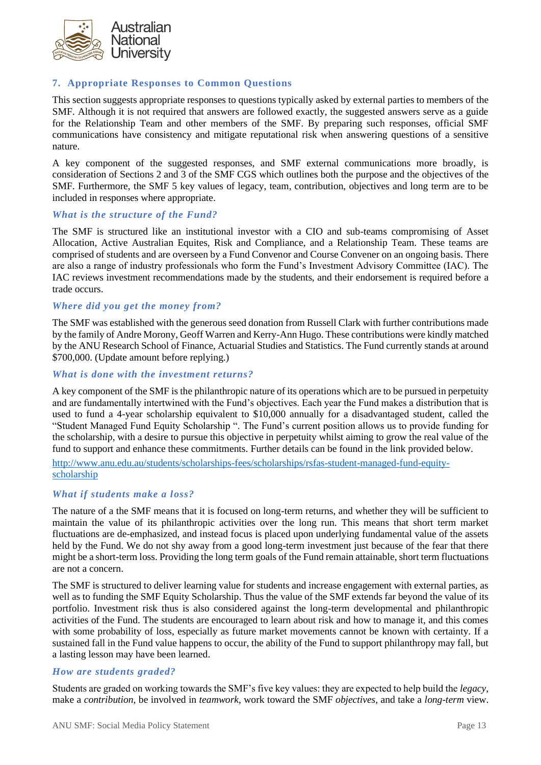

# **7. Appropriate Responses to Common Questions**

This section suggests appropriate responses to questions typically asked by external parties to members of the SMF. Although it is not required that answers are followed exactly, the suggested answers serve as a guide for the Relationship Team and other members of the SMF. By preparing such responses, official SMF communications have consistency and mitigate reputational risk when answering questions of a sensitive nature.

A key component of the suggested responses, and SMF external communications more broadly, is consideration of Sections 2 and 3 of the SMF CGS which outlines both the purpose and the objectives of the SMF. Furthermore, the SMF 5 key values of legacy, team, contribution, objectives and long term are to be included in responses where appropriate.

#### *What is the structure of the Fund?*

The SMF is structured like an institutional investor with a CIO and sub-teams compromising of Asset Allocation, Active Australian Equites, Risk and Compliance, and a Relationship Team. These teams are comprised of students and are overseen by a Fund Convenor and Course Convener on an ongoing basis. There are also a range of industry professionals who form the Fund's Investment Advisory Committee (IAC). The IAC reviews investment recommendations made by the students, and their endorsement is required before a trade occurs.

#### *Where did you get the money from?*

The SMF was established with the generous seed donation from Russell Clark with further contributions made by the family of Andre Morony, Geoff Warren and Kerry-Ann Hugo. These contributions were kindly matched by the ANU Research School of Finance, Actuarial Studies and Statistics. The Fund currently stands at around \$700,000. (Update amount before replying.)

#### *What is done with the investment returns?*

A key component of the SMF is the philanthropic nature of its operations which are to be pursued in perpetuity and are fundamentally intertwined with the Fund's objectives. Each year the Fund makes a distribution that is used to fund a 4-year scholarship equivalent to \$10,000 annually for a disadvantaged student, called the "Student Managed Fund Equity Scholarship ". The Fund's current position allows us to provide funding for the scholarship, with a desire to pursue this objective in perpetuity whilst aiming to grow the real value of the fund to support and enhance these commitments. Further details can be found in the link provided below.

[http://www.anu.edu.au/students/scholarships-fees/scholarships/rsfas-student-managed-fund-equity](http://www.anu.edu.au/students/scholarships-fees/scholarships/rsfas-student-managed-fund-equity-scholarship)[scholarship](http://www.anu.edu.au/students/scholarships-fees/scholarships/rsfas-student-managed-fund-equity-scholarship)

#### *What if students make a loss?*

The nature of a the SMF means that it is focused on long-term returns, and whether they will be sufficient to maintain the value of its philanthropic activities over the long run. This means that short term market fluctuations are de-emphasized, and instead focus is placed upon underlying fundamental value of the assets held by the Fund. We do not shy away from a good long-term investment just because of the fear that there might be a short-term loss. Providing the long term goals of the Fund remain attainable, short term fluctuations are not a concern.

The SMF is structured to deliver learning value for students and increase engagement with external parties, as well as to funding the SMF Equity Scholarship. Thus the value of the SMF extends far beyond the value of its portfolio. Investment risk thus is also considered against the long-term developmental and philanthropic activities of the Fund. The students are encouraged to learn about risk and how to manage it, and this comes with some probability of loss, especially as future market movements cannot be known with certainty. If a sustained fall in the Fund value happens to occur, the ability of the Fund to support philanthropy may fall, but a lasting lesson may have been learned.

#### *How are students graded?*

Students are graded on working towards the SMF's five key values: they are expected to help build the *legacy*, make a *contribution*, be involved in *teamwork*, work toward the SMF *objectives,* and take a *long-term* view.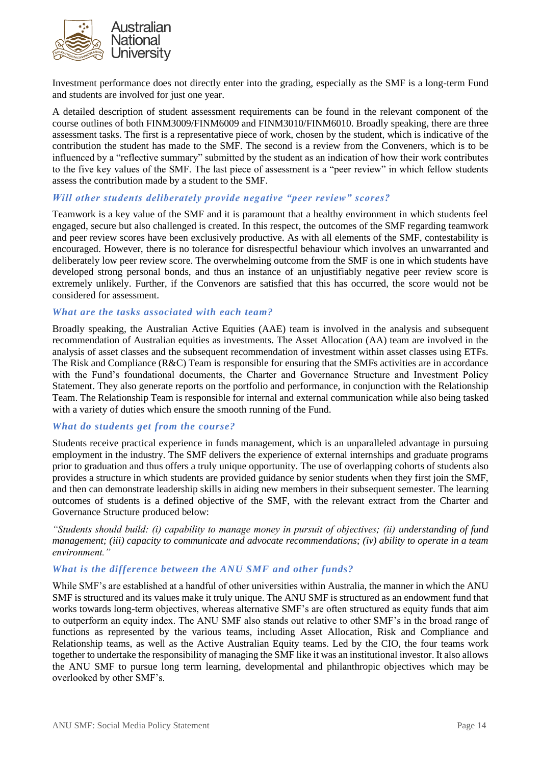

Investment performance does not directly enter into the grading, especially as the SMF is a long-term Fund and students are involved for just one year.

A detailed description of student assessment requirements can be found in the relevant component of the course outlines of both FINM3009/FINM6009 and FINM3010/FINM6010. Broadly speaking, there are three assessment tasks. The first is a representative piece of work, chosen by the student, which is indicative of the contribution the student has made to the SMF. The second is a review from the Conveners, which is to be influenced by a "reflective summary" submitted by the student as an indication of how their work contributes to the five key values of the SMF. The last piece of assessment is a "peer review" in which fellow students assess the contribution made by a student to the SMF.

#### *Will other students deliberately provide negative "peer review" scores?*

Teamwork is a key value of the SMF and it is paramount that a healthy environment in which students feel engaged, secure but also challenged is created. In this respect, the outcomes of the SMF regarding teamwork and peer review scores have been exclusively productive. As with all elements of the SMF, contestability is encouraged. However, there is no tolerance for disrespectful behaviour which involves an unwarranted and deliberately low peer review score. The overwhelming outcome from the SMF is one in which students have developed strong personal bonds, and thus an instance of an unjustifiably negative peer review score is extremely unlikely. Further, if the Convenors are satisfied that this has occurred, the score would not be considered for assessment.

#### *What are the tasks associated with each team?*

Broadly speaking, the Australian Active Equities (AAE) team is involved in the analysis and subsequent recommendation of Australian equities as investments. The Asset Allocation (AA) team are involved in the analysis of asset classes and the subsequent recommendation of investment within asset classes using ETFs. The Risk and Compliance ( $R\&C$ ) Team is responsible for ensuring that the SMFs activities are in accordance with the Fund's foundational documents, the Charter and Governance Structure and Investment Policy Statement. They also generate reports on the portfolio and performance, in conjunction with the Relationship Team. The Relationship Team is responsible for internal and external communication while also being tasked with a variety of duties which ensure the smooth running of the Fund.

### *What do students get from the course?*

Students receive practical experience in funds management, which is an unparalleled advantage in pursuing employment in the industry. The SMF delivers the experience of external internships and graduate programs prior to graduation and thus offers a truly unique opportunity. The use of overlapping cohorts of students also provides a structure in which students are provided guidance by senior students when they first join the SMF, and then can demonstrate leadership skills in aiding new members in their subsequent semester. The learning outcomes of students is a defined objective of the SMF, with the relevant extract from the Charter and Governance Structure produced below:

*"Students should build: (i) capability to manage money in pursuit of objectives; (ii) understanding of fund management; (iii) capacity to communicate and advocate recommendations; (iv) ability to operate in a team environment."*

#### *What is the difference between the ANU SMF and other funds?*

While SMF's are established at a handful of other universities within Australia, the manner in which the ANU SMF is structured and its values make it truly unique. The ANU SMF is structured as an endowment fund that works towards long-term objectives, whereas alternative SMF's are often structured as equity funds that aim to outperform an equity index. The ANU SMF also stands out relative to other SMF's in the broad range of functions as represented by the various teams, including Asset Allocation, Risk and Compliance and Relationship teams, as well as the Active Australian Equity teams. Led by the CIO, the four teams work together to undertake the responsibility of managing the SMF like it was an institutional investor. It also allows the ANU SMF to pursue long term learning, developmental and philanthropic objectives which may be overlooked by other SMF's.